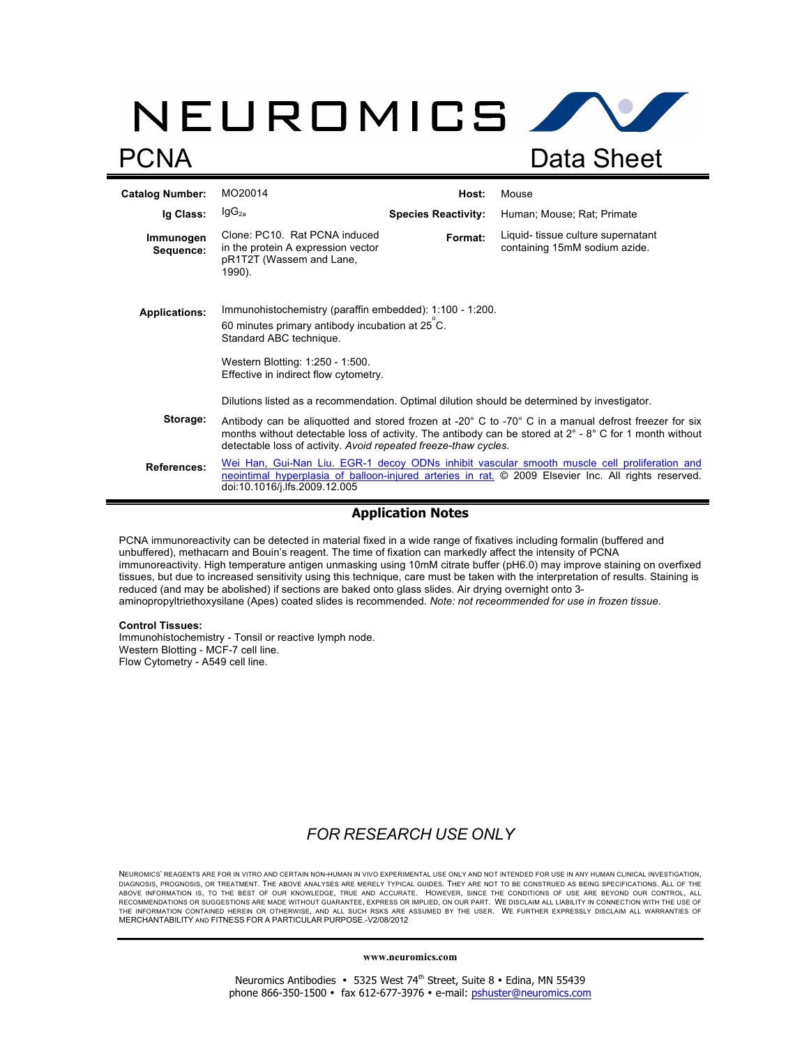# NEUROMICS AV PCNA Data Sheet

| <b>Catalog Number:</b> | MO20014                                                                                                                                                                                                                                                                                     | Host:                      | Mouse                                                              |
|------------------------|---------------------------------------------------------------------------------------------------------------------------------------------------------------------------------------------------------------------------------------------------------------------------------------------|----------------------------|--------------------------------------------------------------------|
| Ig Class:              | $\lg G_{2a}$                                                                                                                                                                                                                                                                                | <b>Species Reactivity:</b> | Human; Mouse; Rat; Primate                                         |
| Immunogen<br>Sequence: | Clone: PC10. Rat PCNA induced<br>in the protein A expression vector<br>pR1T2T (Wassem and Lane,<br>1990).                                                                                                                                                                                   | Format:                    | Liquid-tissue culture supernatant<br>containing 15mM sodium azide. |
| <b>Applications:</b>   | Immunohistochemistry (paraffin embedded): 1:100 - 1:200.<br>60 minutes primary antibody incubation at 25 C.<br>Standard ABC technique.<br>Western Blotting: 1:250 - 1:500.<br>Effective in indirect flow cytometry.                                                                         |                            |                                                                    |
|                        | Dilutions listed as a recommendation. Optimal dilution should be determined by investigator.                                                                                                                                                                                                |                            |                                                                    |
| Storage:               | Antibody can be aliquotted and stored frozen at -20° C to -70° C in a manual defrost freezer for six<br>months without detectable loss of activity. The antibody can be stored at $2^{\circ}$ - 8° C for 1 month without<br>detectable loss of activity. Avoid repeated freeze-thaw cycles. |                            |                                                                    |
| <b>References:</b>     | Wei Han, Gui-Nan Liu. EGR-1 decoy ODNs inhibit vascular smooth muscle cell proliferation and<br>neointimal hyperplasia of balloon-injured arteries in rat. © 2009 Elsevier Inc. All rights reserved.<br>doi:10.1016/j.lfs.2009.12.005                                                       |                            |                                                                    |

### **Application Notes**

PCNA immunoreactivity can be detected in material fixed in a wide range of fixatives including formalin (buffered and unbuffered), methacarn and Bouin's reagent. The time of fixation can markedly affect the intensity of PCNA immunoreactivity. High temperature antigen unmasking using 10mM citrate buffer (pH6.0) may improve staining on overfixed tissues, but due to increased sensitivity using this technique, care must be taken with the interpretation of results. Staining is reduced (and may be abolished) if sections are baked onto glass slides. Air drying overnight onto 3 aminopropyltriethoxysilane (Apes) coated slides is recommended. *Note: not receommended for use in frozen tissue.*

#### **Control Tissues:**

Immunohistochemistry - Tonsil or reactive lymph node. Western Blotting - MCF-7 cell line. Flow Cytometry - A549 cell line.

## *FOR RESEARCH USE ONLY*

NEUROMICS' REAGENTS ARE FOR IN VITRO AND CERTAIN NON-HUMAN IN VIVO EXPERIMENTAL USE ONLY AND NOT INTENDED FOR USE IN ANY HUMAN CLINICAL INVESTIGATION, DIAGNOSIS, PROGNOSIS, OR TREATMENT. THE ABOVE ANALYSES ARE MERELY TYPICAL GUIDES. THEY ARE NOT TO BE CONSTRUED AS BEING SPECIFICATIONS. ALL OF THE<br>ABOVE INFORMATION IS, TO THE BEST OF OUR KNOWLEDGE, TRUE AND ACCURATE. HOWE RECOMMENDATIONS OR SUGGESTIONS ARE MADE WITHOUT GUARANTEE, EXPRESS OR IMPLIED, ON OUR PART. WE DISCLAIM ALL LIABILITY IN CONNECTION WITH THE USE OF<br>THE INFORMATION CONTAINED HEREIN OR OTHERWISE, AND ALL SUCH RSKS ARE ASSUM MERCHANTABILITY AND FITNESS FOR A PARTICULAR PURPOSE.-V2/08/2012

#### **www.neuromics.com**

Neuromics Antibodies • 5325 West 74<sup>th</sup> Street, Suite 8 • Edina, MN 55439 phone 866-350-1500 • fax 612-677-3976 • e-mail: pshuster@neuromics.com